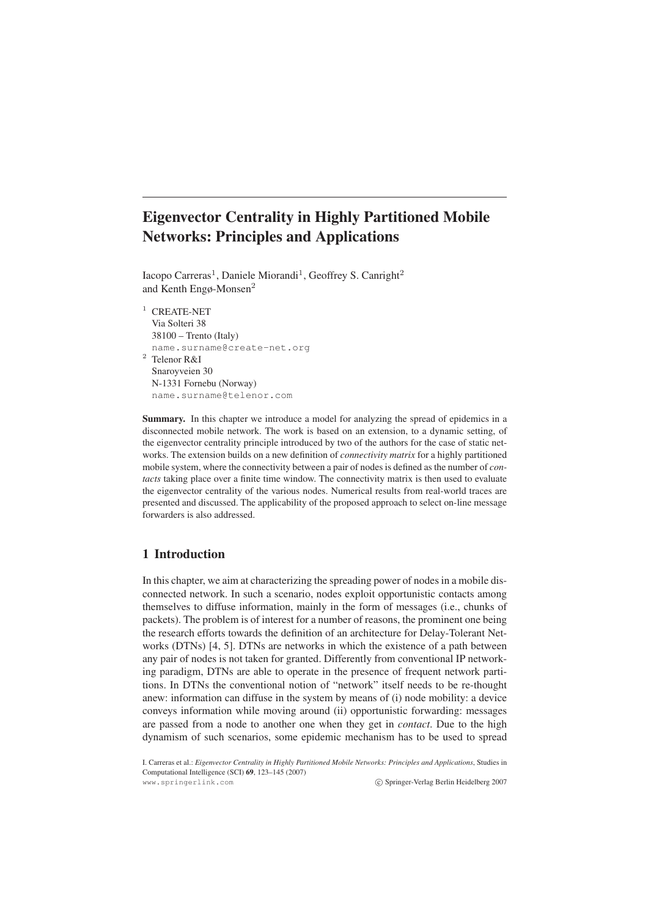# Eigenvector Centrality in Highly Partitioned Mobile Networks: Principles and Applications

Iacopo Carreras<sup>1</sup>, Daniele Miorandi<sup>1</sup>, Geoffrey S. Canright<sup>2</sup> and Kenth Engø-Monsen<sup>2</sup>

 $1$  CREATE-NET Via Solteri 38 38100 – Trento (Italy) name.surname@create-net.org <sup>2</sup> Telenor R&I Snaroyveien 30 N-1331 Fornebu (Norway) name.surname@telenor.com

Summary. In this chapter we introduce a model for analyzing the spread of epidemics in a disconnected mobile network. The work is based on an extension, to a dynamic setting, of the eigenvector centrality principle introduced by two of the authors for the case of static networks. The extension builds on a new definition of *connectivity matrix* for a highly partitioned mobile system, where the connectivity between a pair of nodes is defined as the number of *contacts* taking place over a finite time window. The connectivity matrix is then used to evaluate the eigenvector centrality of the various nodes. Numerical results from real-world traces are presented and discussed. The applicability of the proposed approach to select on-line message forwarders is also addressed.

# 1 Introduction

In this chapter, we aim at characterizing the spreading power of nodes in a mobile disconnected network. In such a scenario, nodes exploit opportunistic contacts among themselves to diffuse information, mainly in the form of messages (i.e., chunks of packets). The problem is of interest for a number of reasons, the prominent one being the research efforts towards the definition of an architecture for Delay-Tolerant Networks (DTNs) [4, 5]. DTNs are networks in which the existence of a path between any pair of nodes is not taken for granted. Differently from conventional IP networking paradigm, DTNs are able to operate in the presence of frequent network partitions. In DTNs the conventional notion of "network" itself needs to be re-thought anew: information can diffuse in the system by means of (i) node mobility: a device conveys information while moving around (ii) opportunistic forwarding: messages are passed from a node to another one when they get in *contact*. Due to the high dynamism of such scenarios, some epidemic mechanism has to be used to spread

I. Carreras et al.: *Eigenvector Centrality in Highly Partitioned Mobile Networks: Principles and Applications*, Studies in Computational Intelligence (SCI) 69, 123–145 (2007) www.springerlink.com c Springer-Verlag Berlin Heidelberg 2007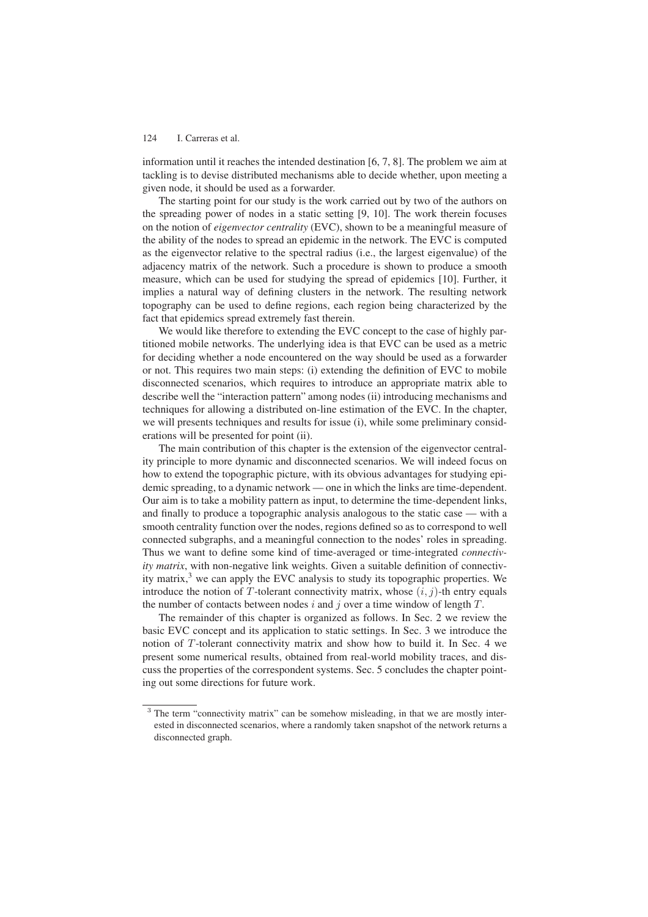information until it reaches the intended destination [6, 7, 8]. The problem we aim at tackling is to devise distributed mechanisms able to decide whether, upon meeting a given node, it should be used as a forwarder.

The starting point for our study is the work carried out by two of the authors on the spreading power of nodes in a static setting [9, 10]. The work therein focuses on the notion of *eigenvector centrality* (EVC), shown to be a meaningful measure of the ability of the nodes to spread an epidemic in the network. The EVC is computed as the eigenvector relative to the spectral radius (i.e., the largest eigenvalue) of the adjacency matrix of the network. Such a procedure is shown to produce a smooth measure, which can be used for studying the spread of epidemics [10]. Further, it implies a natural way of defining clusters in the network. The resulting network topography can be used to define regions, each region being characterized by the fact that epidemics spread extremely fast therein.

We would like therefore to extending the EVC concept to the case of highly partitioned mobile networks. The underlying idea is that EVC can be used as a metric for deciding whether a node encountered on the way should be used as a forwarder or not. This requires two main steps: (i) extending the definition of EVC to mobile disconnected scenarios, which requires to introduce an appropriate matrix able to describe well the "interaction pattern" among nodes (ii) introducing mechanisms and techniques for allowing a distributed on-line estimation of the EVC. In the chapter, we will presents techniques and results for issue (i), while some preliminary considerations will be presented for point (ii).

The main contribution of this chapter is the extension of the eigenvector centrality principle to more dynamic and disconnected scenarios. We will indeed focus on how to extend the topographic picture, with its obvious advantages for studying epidemic spreading, to a dynamic network — one in which the links are time-dependent. Our aim is to take a mobility pattern as input, to determine the time-dependent links, and finally to produce a topographic analysis analogous to the static case — with a smooth centrality function over the nodes, regions defined so as to correspond to well connected subgraphs, and a meaningful connection to the nodes' roles in spreading. Thus we want to define some kind of time-averaged or time-integrated *connectivity matrix*, with non-negative link weights. Given a suitable definition of connectivity matrix,<sup>3</sup> we can apply the EVC analysis to study its topographic properties. We introduce the notion of T-tolerant connectivity matrix, whose  $(i, j)$ -th entry equals the number of contacts between nodes i and j over a time window of length  $T$ .

The remainder of this chapter is organized as follows. In Sec. 2 we review the basic EVC concept and its application to static settings. In Sec. 3 we introduce the notion of T-tolerant connectivity matrix and show how to build it. In Sec. 4 we present some numerical results, obtained from real-world mobility traces, and discuss the properties of the correspondent systems. Sec. 5 concludes the chapter pointing out some directions for future work.

<sup>&</sup>lt;sup>3</sup> The term "connectivity matrix" can be somehow misleading, in that we are mostly interested in disconnected scenarios, where a randomly taken snapshot of the network returns a disconnected graph.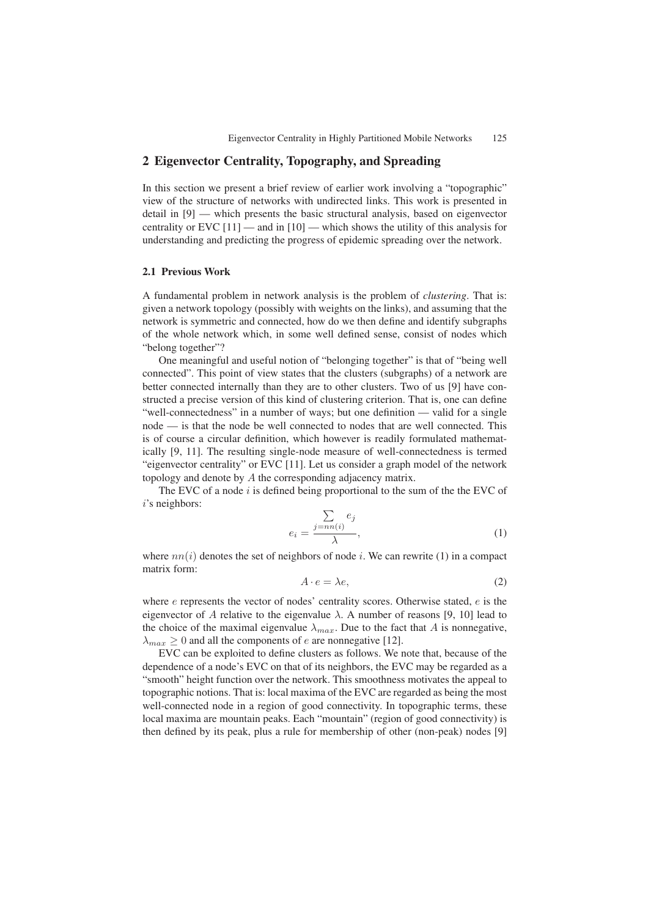# 2 Eigenvector Centrality, Topography, and Spreading

In this section we present a brief review of earlier work involving a "topographic" view of the structure of networks with undirected links. This work is presented in detail in [9] — which presents the basic structural analysis, based on eigenvector centrality or EVC [11] — and in [10] — which shows the utility of this analysis for understanding and predicting the progress of epidemic spreading over the network.

### 2.1 Previous Work

A fundamental problem in network analysis is the problem of *clustering*. That is: given a network topology (possibly with weights on the links), and assuming that the network is symmetric and connected, how do we then define and identify subgraphs of the whole network which, in some well defined sense, consist of nodes which "belong together"?

One meaningful and useful notion of "belonging together" is that of "being well connected". This point of view states that the clusters (subgraphs) of a network are better connected internally than they are to other clusters. Two of us [9] have constructed a precise version of this kind of clustering criterion. That is, one can define "well-connectedness" in a number of ways; but one definition — valid for a single node — is that the node be well connected to nodes that are well connected. This is of course a circular definition, which however is readily formulated mathematically [9, 11]. The resulting single-node measure of well-connectedness is termed "eigenvector centrality" or EVC [11]. Let us consider a graph model of the network topology and denote by A the corresponding adjacency matrix.

The EVC of a node  $i$  is defined being proportional to the sum of the the EVC of i's neighbors:

$$
e_i = \frac{\sum\limits_{j=nn(i)} e_j}{\lambda},\tag{1}
$$

where  $nn(i)$  denotes the set of neighbors of node i. We can rewrite (1) in a compact matrix form:

$$
A \cdot e = \lambda e,\tag{2}
$$

where  $e$  represents the vector of nodes' centrality scores. Otherwise stated,  $e$  is the eigenvector of A relative to the eigenvalue  $\lambda$ . A number of reasons [9, 10] lead to the choice of the maximal eigenvalue  $\lambda_{max}$ . Due to the fact that A is nonnegative,  $\lambda_{max} \geq 0$  and all the components of e are nonnegative [12].

EVC can be exploited to define clusters as follows. We note that, because of the dependence of a node's EVC on that of its neighbors, the EVC may be regarded as a "smooth" height function over the network. This smoothness motivates the appeal to topographic notions. That is: local maxima of the EVC are regarded as being the most well-connected node in a region of good connectivity. In topographic terms, these local maxima are mountain peaks. Each "mountain" (region of good connectivity) is then defined by its peak, plus a rule for membership of other (non-peak) nodes [9]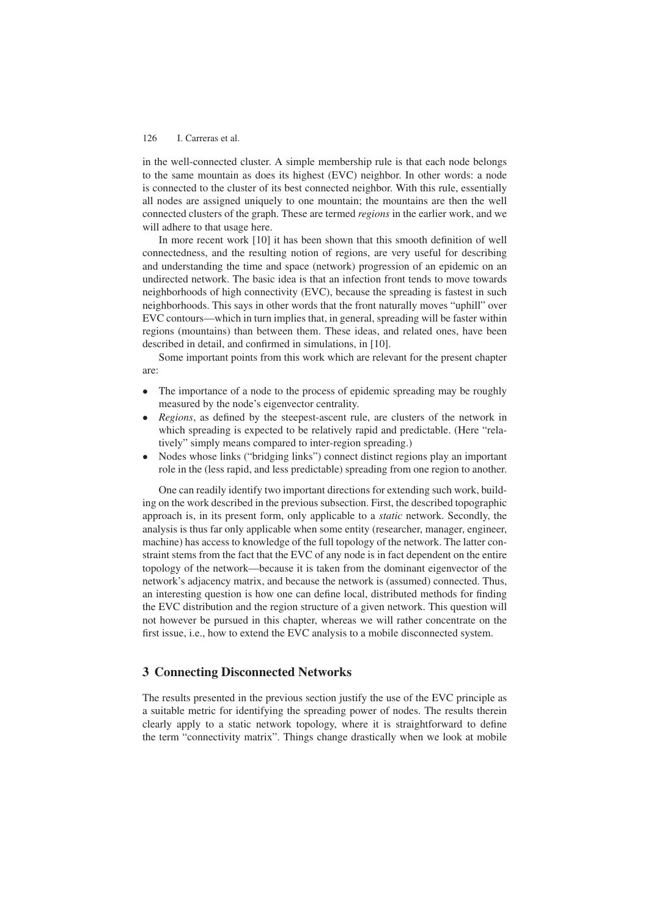in the well-connected cluster. A simple membership rule is that each node belongs to the same mountain as does its highest (EVC) neighbor. In other words: a node is connected to the cluster of its best connected neighbor. With this rule, essentially all nodes are assigned uniquely to one mountain; the mountains are then the well connected clusters of the graph. These are termed *regions* in the earlier work, and we will adhere to that usage here.

In more recent work [10] it has been shown that this smooth definition of well connectedness, and the resulting notion of regions, are very useful for describing and understanding the time and space (network) progression of an epidemic on an undirected network. The basic idea is that an infection front tends to move towards neighborhoods of high connectivity (EVC), because the spreading is fastest in such neighborhoods. This says in other words that the front naturally moves "uphill" over EVC contours—which in turn implies that, in general, spreading will be faster within regions (mountains) than between them. These ideas, and related ones, have been described in detail, and confirmed in simulations, in [10].

Some important points from this work which are relevant for the present chapter are:

- The importance of a node to the process of epidemic spreading may be roughly measured by the node's eigenvector centrality.
- *Regions*, as defined by the steepest-ascent rule, are clusters of the network in which spreading is expected to be relatively rapid and predictable. (Here "relatively" simply means compared to inter-region spreading.)
- Nodes whose links ("bridging links") connect distinct regions play an important role in the (less rapid, and less predictable) spreading from one region to another.

One can readily identify two important directions for extending such work, building on the work described in the previous subsection. First, the described topographic approach is, in its present form, only applicable to a *static* network. Secondly, the analysis is thus far only applicable when some entity (researcher, manager, engineer, machine) has access to knowledge of the full topology of the network. The latter constraint stems from the fact that the EVC of any node is in fact dependent on the entire topology of the network—because it is taken from the dominant eigenvector of the network's adjacency matrix, and because the network is (assumed) connected. Thus, an interesting question is how one can define local, distributed methods for finding the EVC distribution and the region structure of a given network. This question will not however be pursued in this chapter, whereas we will rather concentrate on the first issue, i.e., how to extend the EVC analysis to a mobile disconnected system.

# 3 Connecting Disconnected Networks

The results presented in the previous section justify the use of the EVC principle as a suitable metric for identifying the spreading power of nodes. The results therein clearly apply to a static network topology, where it is straightforward to define the term "connectivity matrix". Things change drastically when we look at mobile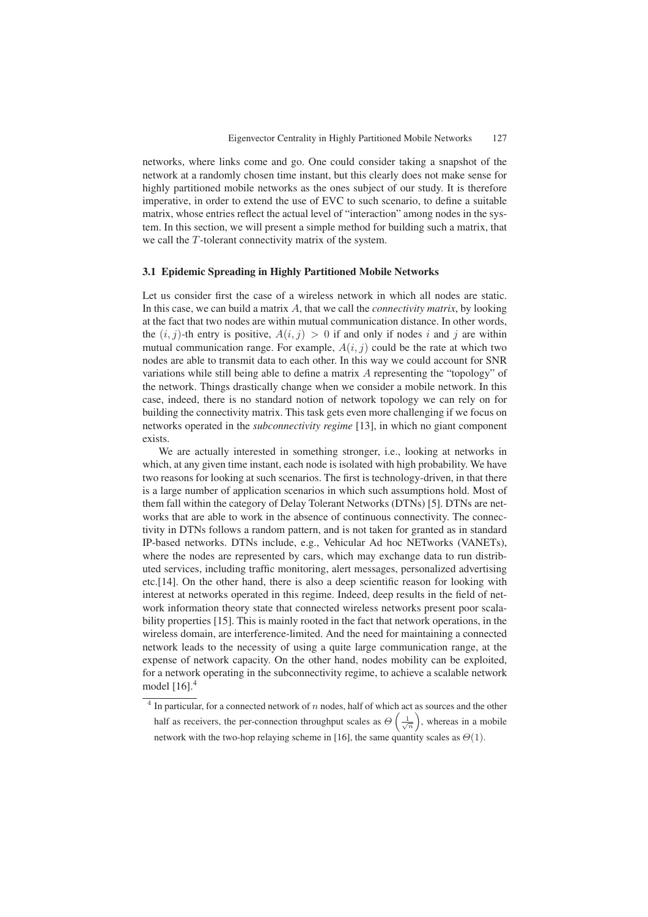networks, where links come and go. One could consider taking a snapshot of the network at a randomly chosen time instant, but this clearly does not make sense for highly partitioned mobile networks as the ones subject of our study. It is therefore imperative, in order to extend the use of EVC to such scenario, to define a suitable matrix, whose entries reflect the actual level of "interaction" among nodes in the system. In this section, we will present a simple method for building such a matrix, that we call the T-tolerant connectivity matrix of the system.

#### 3.1 Epidemic Spreading in Highly Partitioned Mobile Networks

Let us consider first the case of a wireless network in which all nodes are static. In this case, we can build a matrix A, that we call the *connectivity matrix*, by looking at the fact that two nodes are within mutual communication distance. In other words, the  $(i, j)$ -th entry is positive,  $A(i, j) > 0$  if and only if nodes i and j are within mutual communication range. For example,  $A(i, j)$  could be the rate at which two nodes are able to transmit data to each other. In this way we could account for SNR variations while still being able to define a matrix A representing the "topology" of the network. Things drastically change when we consider a mobile network. In this case, indeed, there is no standard notion of network topology we can rely on for building the connectivity matrix. This task gets even more challenging if we focus on networks operated in the *subconnectivity regime* [13], in which no giant component exists.

We are actually interested in something stronger, i.e., looking at networks in which, at any given time instant, each node is isolated with high probability. We have two reasons for looking at such scenarios. The first is technology-driven, in that there is a large number of application scenarios in which such assumptions hold. Most of them fall within the category of Delay Tolerant Networks (DTNs) [5]. DTNs are networks that are able to work in the absence of continuous connectivity. The connectivity in DTNs follows a random pattern, and is not taken for granted as in standard IP-based networks. DTNs include, e.g., Vehicular Ad hoc NETworks (VANETs), where the nodes are represented by cars, which may exchange data to run distributed services, including traffic monitoring, alert messages, personalized advertising etc.[14]. On the other hand, there is also a deep scientific reason for looking with interest at networks operated in this regime. Indeed, deep results in the field of network information theory state that connected wireless networks present poor scalability properties [15]. This is mainly rooted in the fact that network operations, in the wireless domain, are interference-limited. And the need for maintaining a connected network leads to the necessity of using a quite large communication range, at the expense of network capacity. On the other hand, nodes mobility can be exploited, for a network operating in the subconnectivity regime, to achieve a scalable network model  $[16]$ <sup>4</sup>

 $4$  In particular, for a connected network of  $n$  nodes, half of which act as sources and the other half as receivers, the per-connection throughput scales as  $\Theta\left(\frac{1}{\sqrt{n}}\right)$ , whereas in a mobile network with the two-hop relaying scheme in [16], the same quantity scales as  $\Theta(1)$ .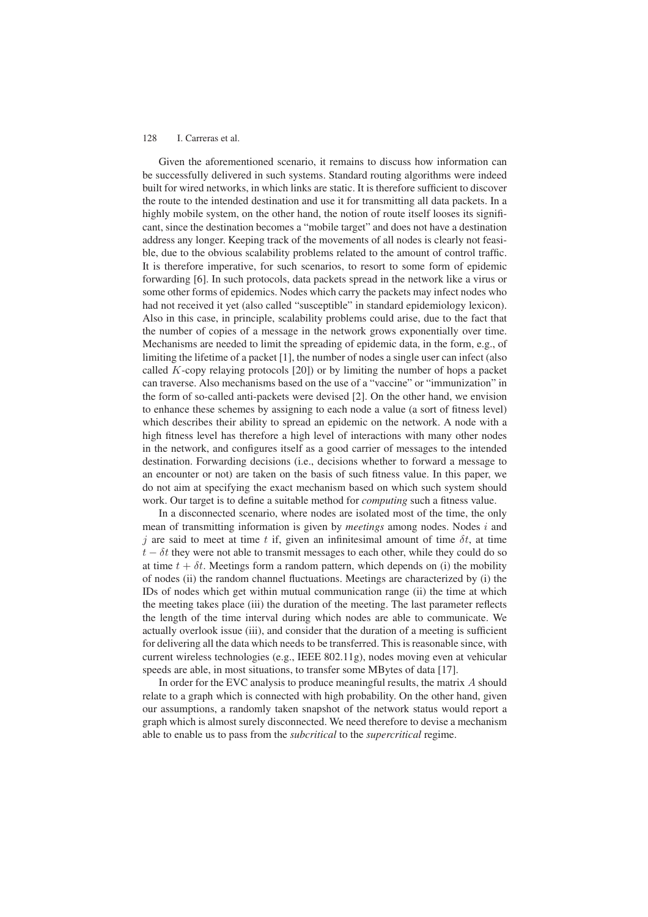Given the aforementioned scenario, it remains to discuss how information can be successfully delivered in such systems. Standard routing algorithms were indeed built for wired networks, in which links are static. It is therefore sufficient to discover the route to the intended destination and use it for transmitting all data packets. In a highly mobile system, on the other hand, the notion of route itself looses its significant, since the destination becomes a "mobile target" and does not have a destination address any longer. Keeping track of the movements of all nodes is clearly not feasible, due to the obvious scalability problems related to the amount of control traffic. It is therefore imperative, for such scenarios, to resort to some form of epidemic forwarding [6]. In such protocols, data packets spread in the network like a virus or some other forms of epidemics. Nodes which carry the packets may infect nodes who had not received it yet (also called "susceptible" in standard epidemiology lexicon). Also in this case, in principle, scalability problems could arise, due to the fact that the number of copies of a message in the network grows exponentially over time. Mechanisms are needed to limit the spreading of epidemic data, in the form, e.g., of limiting the lifetime of a packet [1], the number of nodes a single user can infect (also called  $K$ -copy relaying protocols  $[20]$ ) or by limiting the number of hops a packet can traverse. Also mechanisms based on the use of a "vaccine" or "immunization" in the form of so-called anti-packets were devised [2]. On the other hand, we envision to enhance these schemes by assigning to each node a value (a sort of fitness level) which describes their ability to spread an epidemic on the network. A node with a high fitness level has therefore a high level of interactions with many other nodes in the network, and configures itself as a good carrier of messages to the intended destination. Forwarding decisions (i.e., decisions whether to forward a message to an encounter or not) are taken on the basis of such fitness value. In this paper, we do not aim at specifying the exact mechanism based on which such system should work. Our target is to define a suitable method for *computing* such a fitness value.

In a disconnected scenario, where nodes are isolated most of the time, the only mean of transmitting information is given by *meetings* among nodes. Nodes i and j are said to meet at time t if, given an infinitesimal amount of time  $\delta t$ , at time  $t - \delta t$  they were not able to transmit messages to each other, while they could do so at time  $t + \delta t$ . Meetings form a random pattern, which depends on (i) the mobility of nodes (ii) the random channel fluctuations. Meetings are characterized by (i) the IDs of nodes which get within mutual communication range (ii) the time at which the meeting takes place (iii) the duration of the meeting. The last parameter reflects the length of the time interval during which nodes are able to communicate. We actually overlook issue (iii), and consider that the duration of a meeting is sufficient for delivering all the data which needs to be transferred. This is reasonable since, with current wireless technologies (e.g., IEEE 802.11g), nodes moving even at vehicular speeds are able, in most situations, to transfer some MBytes of data [17].

In order for the EVC analysis to produce meaningful results, the matrix A should relate to a graph which is connected with high probability. On the other hand, given our assumptions, a randomly taken snapshot of the network status would report a graph which is almost surely disconnected. We need therefore to devise a mechanism able to enable us to pass from the *subcritical* to the *supercritical* regime.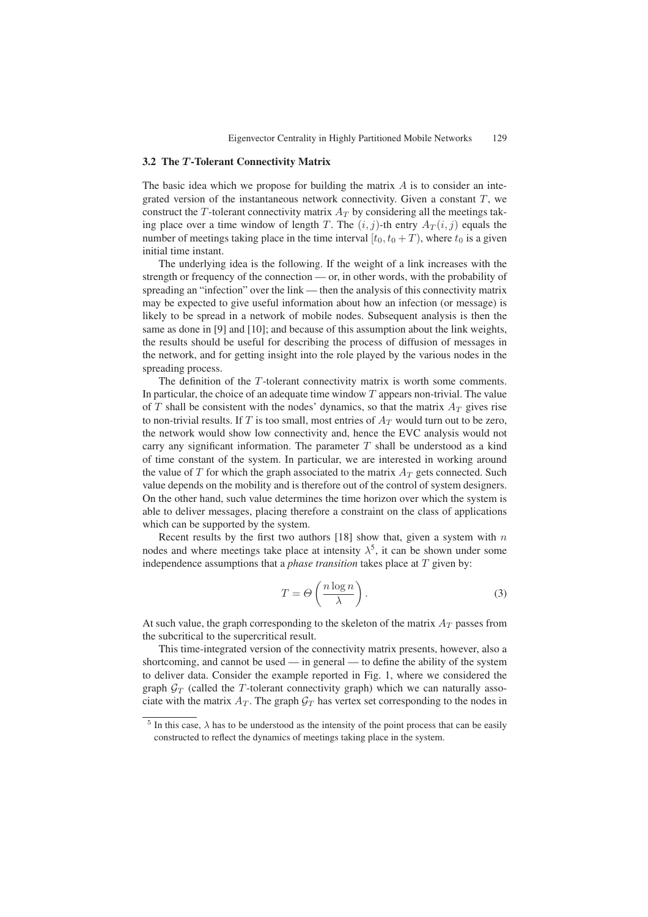# 3.2 The *T* -Tolerant Connectivity Matrix

The basic idea which we propose for building the matrix  $A$  is to consider an integrated version of the instantaneous network connectivity. Given a constant  $T$ , we construct the  $T$ -tolerant connectivity matrix  $A_T$  by considering all the meetings taking place over a time window of length T. The  $(i, j)$ -th entry  $A_T(i, j)$  equals the number of meetings taking place in the time interval  $[t_0, t_0 + T)$ , where  $t_0$  is a given initial time instant.

The underlying idea is the following. If the weight of a link increases with the strength or frequency of the connection — or, in other words, with the probability of spreading an "infection" over the link — then the analysis of this connectivity matrix may be expected to give useful information about how an infection (or message) is likely to be spread in a network of mobile nodes. Subsequent analysis is then the same as done in [9] and [10]; and because of this assumption about the link weights, the results should be useful for describing the process of diffusion of messages in the network, and for getting insight into the role played by the various nodes in the spreading process.

The definition of the T-tolerant connectivity matrix is worth some comments. In particular, the choice of an adequate time window  $T$  appears non-trivial. The value of  $T$  shall be consistent with the nodes' dynamics, so that the matrix  $A_T$  gives rise to non-trivial results. If T is too small, most entries of  $A_T$  would turn out to be zero, the network would show low connectivity and, hence the EVC analysis would not carry any significant information. The parameter  $T$  shall be understood as a kind of time constant of the system. In particular, we are interested in working around the value of T for which the graph associated to the matrix  $A_T$  gets connected. Such value depends on the mobility and is therefore out of the control of system designers. On the other hand, such value determines the time horizon over which the system is able to deliver messages, placing therefore a constraint on the class of applications which can be supported by the system.

Recent results by the first two authors [18] show that, given a system with  $n$ nodes and where meetings take place at intensity  $\lambda^5$ , it can be shown under some independence assumptions that a *phase transition* takes place at T given by:

$$
T = \Theta\left(\frac{n\log n}{\lambda}\right). \tag{3}
$$

At such value, the graph corresponding to the skeleton of the matrix  $A_T$  passes from the subcritical to the supercritical result.

This time-integrated version of the connectivity matrix presents, however, also a shortcoming, and cannot be used — in general — to define the ability of the system to deliver data. Consider the example reported in Fig. 1, where we considered the graph  $\mathcal{G}_T$  (called the T-tolerant connectivity graph) which we can naturally associate with the matrix  $A_T$ . The graph  $\mathcal{G}_T$  has vertex set corresponding to the nodes in

<sup>&</sup>lt;sup>5</sup> In this case,  $\lambda$  has to be understood as the intensity of the point process that can be easily constructed to reflect the dynamics of meetings taking place in the system.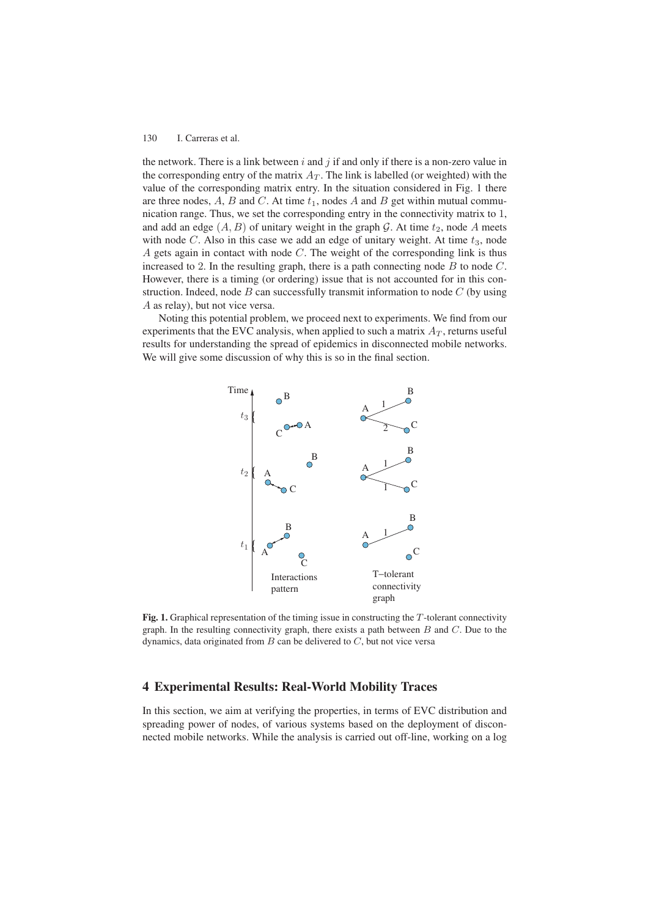the network. There is a link between  $i$  and  $j$  if and only if there is a non-zero value in the corresponding entry of the matrix  $A_T$ . The link is labelled (or weighted) with the value of the corresponding matrix entry. In the situation considered in Fig. 1 there are three nodes, A, B and C. At time  $t_1$ , nodes A and B get within mutual communication range. Thus, we set the corresponding entry in the connectivity matrix to 1, and add an edge  $(A, B)$  of unitary weight in the graph  $G$ . At time  $t_2$ , node A meets with node  $C$ . Also in this case we add an edge of unitary weight. At time  $t_3$ , node A gets again in contact with node  $C$ . The weight of the corresponding link is thus increased to 2. In the resulting graph, there is a path connecting node  $B$  to node  $C$ . However, there is a timing (or ordering) issue that is not accounted for in this construction. Indeed, node  $B$  can successfully transmit information to node  $C$  (by using A as relay), but not vice versa.

Noting this potential problem, we proceed next to experiments. We find from our experiments that the EVC analysis, when applied to such a matrix  $A_T$ , returns useful results for understanding the spread of epidemics in disconnected mobile networks. We will give some discussion of why this is so in the final section.



Fig. 1. Graphical representation of the timing issue in constructing the T-tolerant connectivity graph. In the resulting connectivity graph, there exists a path between  $B$  and  $C$ . Due to the dynamics, data originated from  $B$  can be delivered to  $C$ , but not vice versa

# 4 Experimental Results: Real-World Mobility Traces

In this section, we aim at verifying the properties, in terms of EVC distribution and spreading power of nodes, of various systems based on the deployment of disconnected mobile networks. While the analysis is carried out off-line, working on a log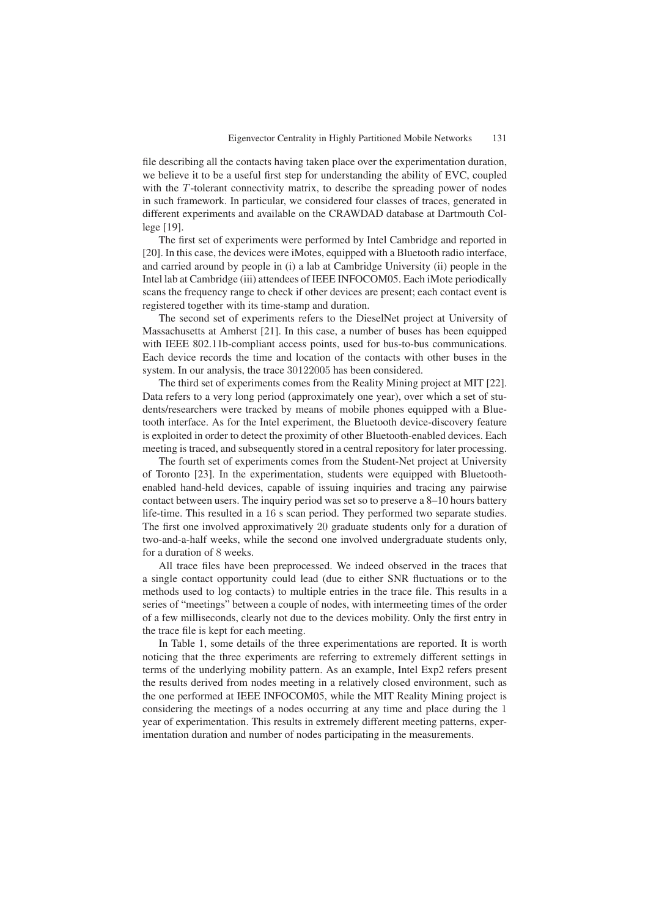file describing all the contacts having taken place over the experimentation duration, we believe it to be a useful first step for understanding the ability of EVC, coupled with the T-tolerant connectivity matrix, to describe the spreading power of nodes in such framework. In particular, we considered four classes of traces, generated in different experiments and available on the CRAWDAD database at Dartmouth College [19].

The first set of experiments were performed by Intel Cambridge and reported in [20]. In this case, the devices were iMotes, equipped with a Bluetooth radio interface, and carried around by people in (i) a lab at Cambridge University (ii) people in the Intel lab at Cambridge (iii) attendees of IEEE INFOCOM05. Each iMote periodically scans the frequency range to check if other devices are present; each contact event is registered together with its time-stamp and duration.

The second set of experiments refers to the DieselNet project at University of Massachusetts at Amherst [21]. In this case, a number of buses has been equipped with IEEE 802.11b-compliant access points, used for bus-to-bus communications. Each device records the time and location of the contacts with other buses in the system. In our analysis, the trace 30122005 has been considered.

The third set of experiments comes from the Reality Mining project at MIT [22]. Data refers to a very long period (approximately one year), over which a set of students/researchers were tracked by means of mobile phones equipped with a Bluetooth interface. As for the Intel experiment, the Bluetooth device-discovery feature is exploited in order to detect the proximity of other Bluetooth-enabled devices. Each meeting is traced, and subsequently stored in a central repository for later processing.

The fourth set of experiments comes from the Student-Net project at University of Toronto [23]. In the experimentation, students were equipped with Bluetoothenabled hand-held devices, capable of issuing inquiries and tracing any pairwise contact between users. The inquiry period was set so to preserve a 8–10 hours battery life-time. This resulted in a 16 s scan period. They performed two separate studies. The first one involved approximatively 20 graduate students only for a duration of two-and-a-half weeks, while the second one involved undergraduate students only, for a duration of 8 weeks.

All trace files have been preprocessed. We indeed observed in the traces that a single contact opportunity could lead (due to either SNR fluctuations or to the methods used to log contacts) to multiple entries in the trace file. This results in a series of "meetings" between a couple of nodes, with intermeeting times of the order of a few milliseconds, clearly not due to the devices mobility. Only the first entry in the trace file is kept for each meeting.

In Table 1, some details of the three experimentations are reported. It is worth noticing that the three experiments are referring to extremely different settings in terms of the underlying mobility pattern. As an example, Intel Exp2 refers present the results derived from nodes meeting in a relatively closed environment, such as the one performed at IEEE INFOCOM05, while the MIT Reality Mining project is considering the meetings of a nodes occurring at any time and place during the 1 year of experimentation. This results in extremely different meeting patterns, experimentation duration and number of nodes participating in the measurements.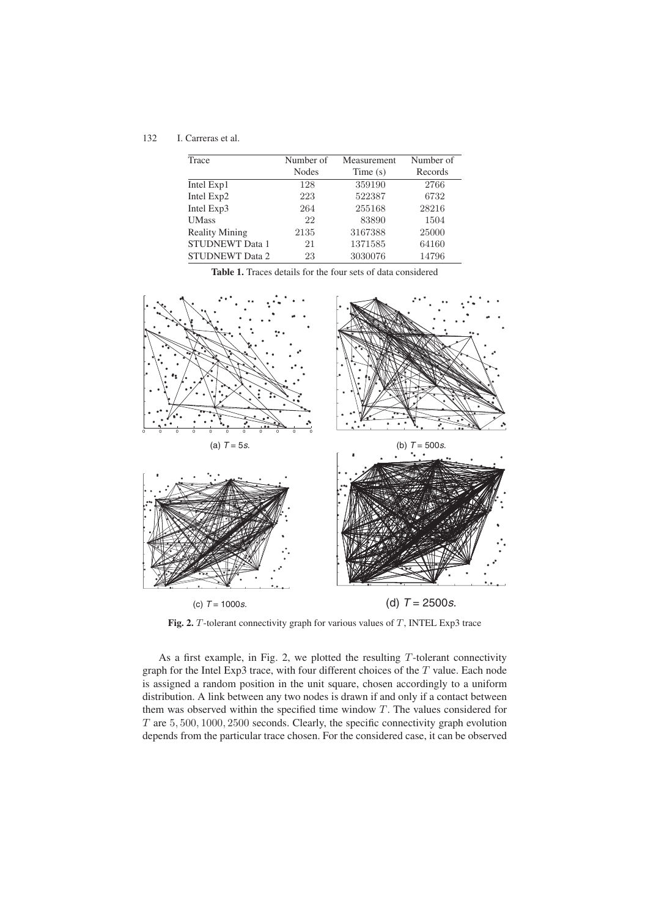| Trace                  | Number of | Measurement | Number of |
|------------------------|-----------|-------------|-----------|
|                        | Nodes     | Time(s)     | Records   |
| Intel Exp1             | 128       | 359190      | 2766      |
| Intel Exp2             | 223       | 522387      | 6732      |
| Intel Exp3             | 264       | 255168      | 28216     |
| <b>UMass</b>           | 22        | 83890       | 1504      |
| <b>Reality Mining</b>  | 2135      | 3167388     | 25000     |
| <b>STUDNEWT</b> Data 1 | 21        | 1371585     | 64160     |
| <b>STUDNEWT Data 2</b> | 23        | 3030076     | 14796     |

| <b>Table 1.</b> Traces details for the four sets of data considered |
|---------------------------------------------------------------------|
|---------------------------------------------------------------------|



Fig. 2.  $T$ -tolerant connectivity graph for various values of  $T$ , INTEL Exp3 trace

As a first example, in Fig. 2, we plotted the resulting T-tolerant connectivity graph for the Intel Exp3 trace, with four different choices of the T value. Each node is assigned a random position in the unit square, chosen accordingly to a uniform distribution. A link between any two nodes is drawn if and only if a contact between them was observed within the specified time window  $T$ . The values considered for T are 5, 500, 1000, 2500 seconds. Clearly, the specific connectivity graph evolution depends from the particular trace chosen. For the considered case, it can be observed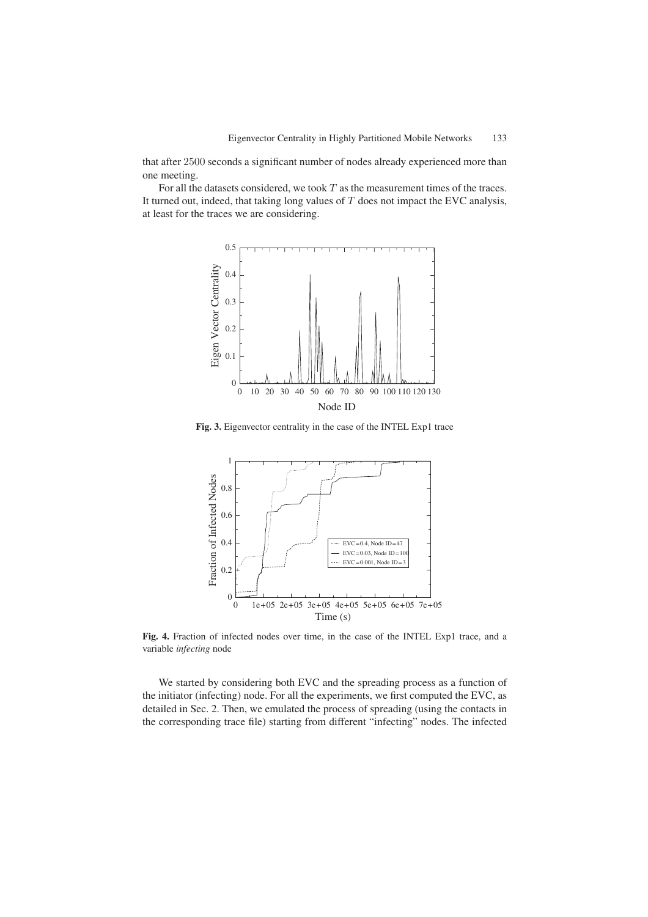that after 2500 seconds a significant number of nodes already experienced more than one meeting.

For all the datasets considered, we took  $T$  as the measurement times of the traces. It turned out, indeed, that taking long values of  $T$  does not impact the EVC analysis, at least for the traces we are considering.



Fig. 3. Eigenvector centrality in the case of the INTEL Exp1 trace



Fig. 4. Fraction of infected nodes over time, in the case of the INTEL Exp1 trace, and a variable *infecting* node

We started by considering both EVC and the spreading process as a function of the initiator (infecting) node. For all the experiments, we first computed the EVC, as detailed in Sec. 2. Then, we emulated the process of spreading (using the contacts in the corresponding trace file) starting from different "infecting" nodes. The infected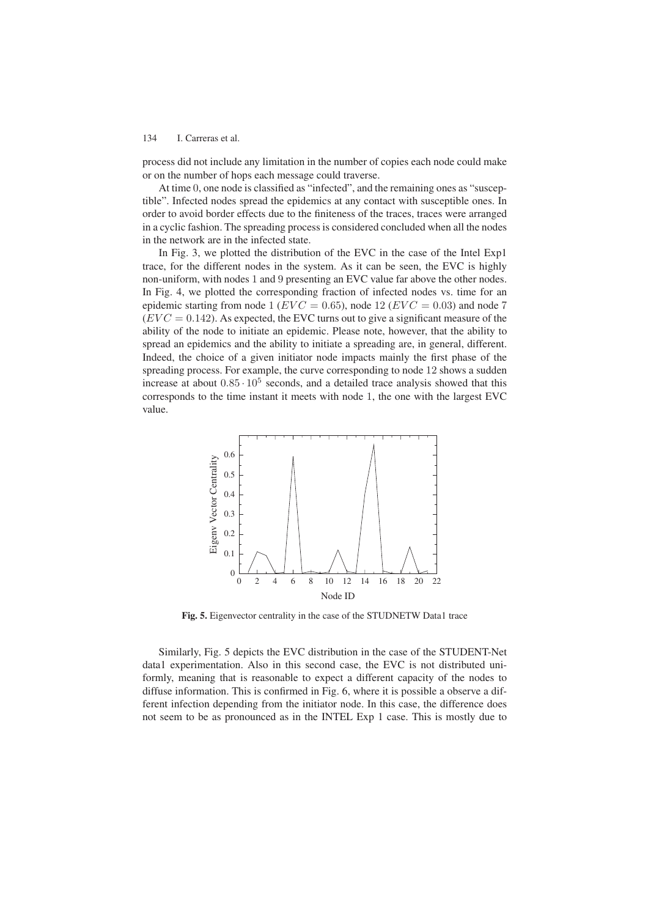process did not include any limitation in the number of copies each node could make or on the number of hops each message could traverse.

At time 0, one node is classified as "infected", and the remaining ones as "susceptible". Infected nodes spread the epidemics at any contact with susceptible ones. In order to avoid border effects due to the finiteness of the traces, traces were arranged in a cyclic fashion. The spreading process is considered concluded when all the nodes in the network are in the infected state.

In Fig. 3, we plotted the distribution of the EVC in the case of the Intel Exp1 trace, for the different nodes in the system. As it can be seen, the EVC is highly non-uniform, with nodes 1 and 9 presenting an EVC value far above the other nodes. In Fig. 4, we plotted the corresponding fraction of infected nodes vs. time for an epidemic starting from node 1 ( $EVC = 0.65$ ), node 12 ( $EVC = 0.03$ ) and node 7  $EVC = 0.142$ . As expected, the EVC turns out to give a significant measure of the ability of the node to initiate an epidemic. Please note, however, that the ability to spread an epidemics and the ability to initiate a spreading are, in general, different. Indeed, the choice of a given initiator node impacts mainly the first phase of the spreading process. For example, the curve corresponding to node 12 shows a sudden increase at about  $0.85 \cdot 10^5$  seconds, and a detailed trace analysis showed that this corresponds to the time instant it meets with node 1, the one with the largest EVC value.



Fig. 5. Eigenvector centrality in the case of the STUDNETW Data1 trace

Similarly, Fig. 5 depicts the EVC distribution in the case of the STUDENT-Net data1 experimentation. Also in this second case, the EVC is not distributed uniformly, meaning that is reasonable to expect a different capacity of the nodes to diffuse information. This is confirmed in Fig. 6, where it is possible a observe a different infection depending from the initiator node. In this case, the difference does not seem to be as pronounced as in the INTEL Exp 1 case. This is mostly due to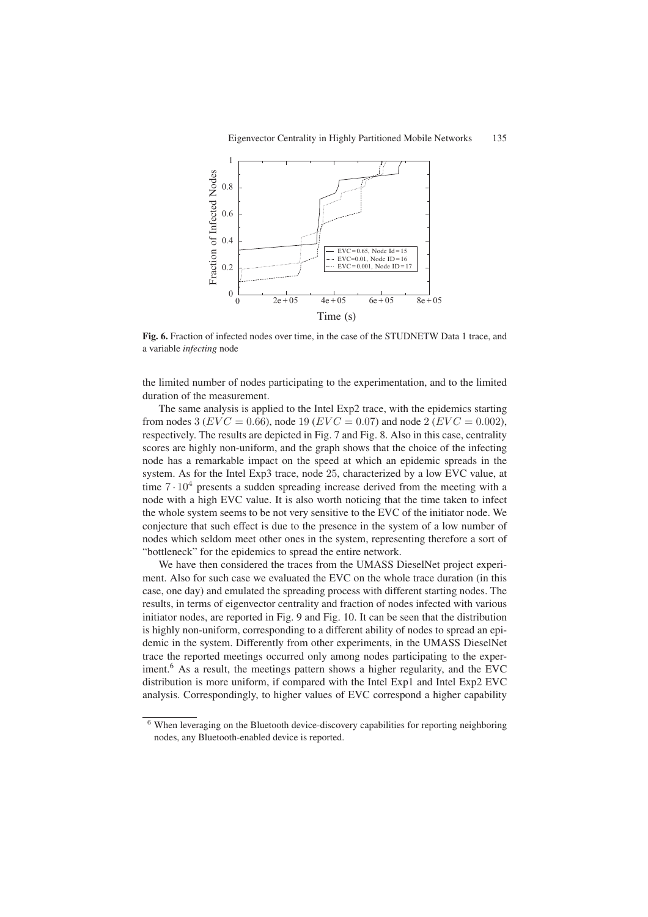

Fig. 6. Fraction of infected nodes over time, in the case of the STUDNETW Data 1 trace, and a variable *infecting* node

the limited number of nodes participating to the experimentation, and to the limited duration of the measurement.

The same analysis is applied to the Intel Exp2 trace, with the epidemics starting from nodes 3 ( $EVC = 0.66$ ), node 19 ( $EVC = 0.07$ ) and node 2 ( $EVC = 0.002$ ), respectively. The results are depicted in Fig. 7 and Fig. 8. Also in this case, centrality scores are highly non-uniform, and the graph shows that the choice of the infecting node has a remarkable impact on the speed at which an epidemic spreads in the system. As for the Intel Exp3 trace, node 25, characterized by a low EVC value, at time  $7 \cdot 10^4$  presents a sudden spreading increase derived from the meeting with a node with a high EVC value. It is also worth noticing that the time taken to infect the whole system seems to be not very sensitive to the EVC of the initiator node. We conjecture that such effect is due to the presence in the system of a low number of nodes which seldom meet other ones in the system, representing therefore a sort of "bottleneck" for the epidemics to spread the entire network.

We have then considered the traces from the UMASS DieselNet project experiment. Also for such case we evaluated the EVC on the whole trace duration (in this case, one day) and emulated the spreading process with different starting nodes. The results, in terms of eigenvector centrality and fraction of nodes infected with various initiator nodes, are reported in Fig. 9 and Fig. 10. It can be seen that the distribution is highly non-uniform, corresponding to a different ability of nodes to spread an epidemic in the system. Differently from other experiments, in the UMASS DieselNet trace the reported meetings occurred only among nodes participating to the experiment.<sup>6</sup> As a result, the meetings pattern shows a higher regularity, and the EVC distribution is more uniform, if compared with the Intel Exp1 and Intel Exp2 EVC analysis. Correspondingly, to higher values of EVC correspond a higher capability

<sup>6</sup> When leveraging on the Bluetooth device-discovery capabilities for reporting neighboring nodes, any Bluetooth-enabled device is reported.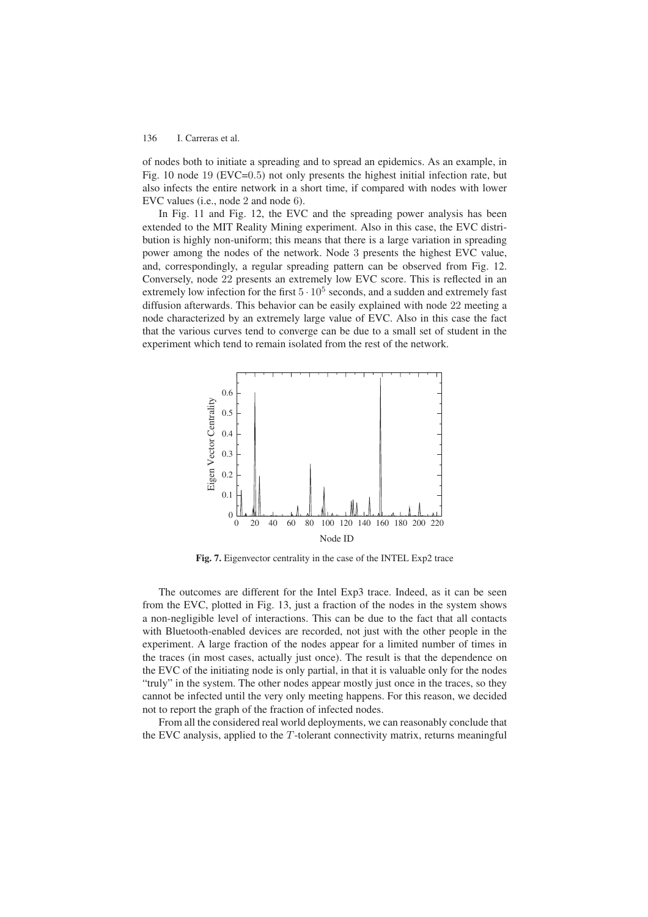of nodes both to initiate a spreading and to spread an epidemics. As an example, in Fig. 10 node 19 (EVC=0.5) not only presents the highest initial infection rate, but also infects the entire network in a short time, if compared with nodes with lower EVC values (i.e., node 2 and node 6).

In Fig. 11 and Fig. 12, the EVC and the spreading power analysis has been extended to the MIT Reality Mining experiment. Also in this case, the EVC distribution is highly non-uniform; this means that there is a large variation in spreading power among the nodes of the network. Node 3 presents the highest EVC value, and, correspondingly, a regular spreading pattern can be observed from Fig. 12. Conversely, node 22 presents an extremely low EVC score. This is reflected in an extremely low infection for the first  $5 \cdot 10^5$  seconds, and a sudden and extremely fast diffusion afterwards. This behavior can be easily explained with node 22 meeting a node characterized by an extremely large value of EVC. Also in this case the fact that the various curves tend to converge can be due to a small set of student in the experiment which tend to remain isolated from the rest of the network.



Fig. 7. Eigenvector centrality in the case of the INTEL Exp2 trace

The outcomes are different for the Intel Exp3 trace. Indeed, as it can be seen from the EVC, plotted in Fig. 13, just a fraction of the nodes in the system shows a non-negligible level of interactions. This can be due to the fact that all contacts with Bluetooth-enabled devices are recorded, not just with the other people in the experiment. A large fraction of the nodes appear for a limited number of times in the traces (in most cases, actually just once). The result is that the dependence on the EVC of the initiating node is only partial, in that it is valuable only for the nodes "truly" in the system. The other nodes appear mostly just once in the traces, so they cannot be infected until the very only meeting happens. For this reason, we decided not to report the graph of the fraction of infected nodes.

From all the considered real world deployments, we can reasonably conclude that the EVC analysis, applied to the T-tolerant connectivity matrix, returns meaningful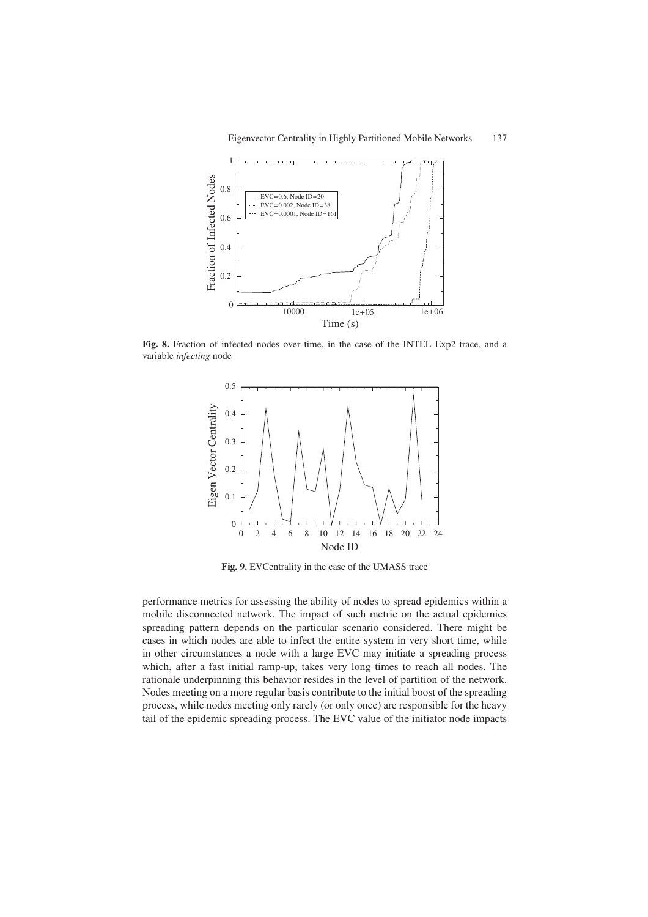

Fig. 8. Fraction of infected nodes over time, in the case of the INTEL Exp2 trace, and a variable *infecting* node



Fig. 9. EVCentrality in the case of the UMASS trace

performance metrics for assessing the ability of nodes to spread epidemics within a mobile disconnected network. The impact of such metric on the actual epidemics spreading pattern depends on the particular scenario considered. There might be cases in which nodes are able to infect the entire system in very short time, while in other circumstances a node with a large EVC may initiate a spreading process which, after a fast initial ramp-up, takes very long times to reach all nodes. The rationale underpinning this behavior resides in the level of partition of the network. Nodes meeting on a more regular basis contribute to the initial boost of the spreading process, while nodes meeting only rarely (or only once) are responsible for the heavy tail of the epidemic spreading process. The EVC value of the initiator node impacts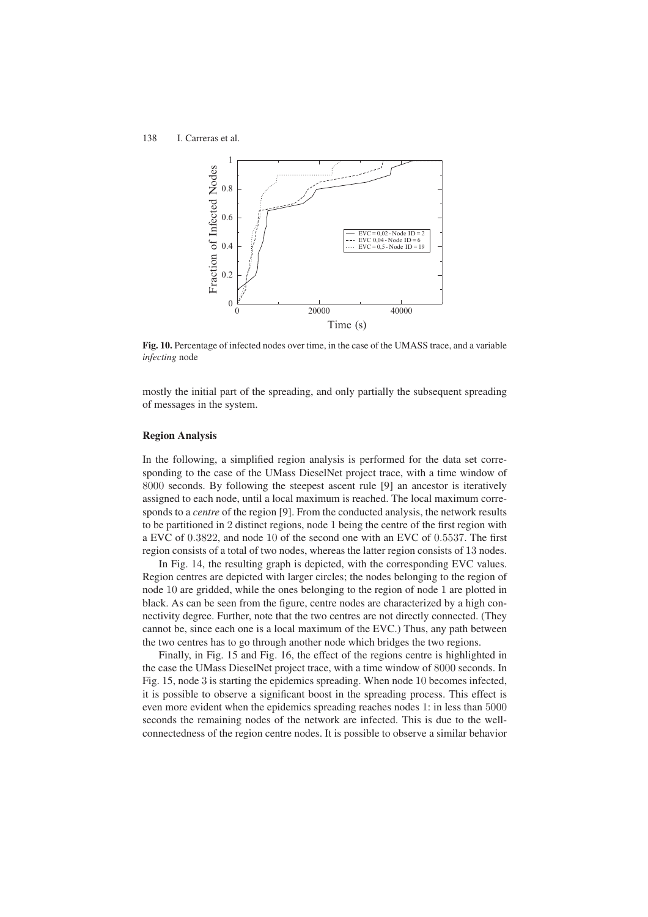

Fig. 10. Percentage of infected nodes over time, in the case of the UMASS trace, and a variable *infecting* node

mostly the initial part of the spreading, and only partially the subsequent spreading of messages in the system.

#### Region Analysis

In the following, a simplified region analysis is performed for the data set corresponding to the case of the UMass DieselNet project trace, with a time window of 8000 seconds. By following the steepest ascent rule [9] an ancestor is iteratively assigned to each node, until a local maximum is reached. The local maximum corresponds to a *centre* of the region [9]. From the conducted analysis, the network results to be partitioned in 2 distinct regions, node 1 being the centre of the first region with a EVC of 0.3822, and node 10 of the second one with an EVC of 0.5537. The first region consists of a total of two nodes, whereas the latter region consists of 13 nodes.

In Fig. 14, the resulting graph is depicted, with the corresponding EVC values. Region centres are depicted with larger circles; the nodes belonging to the region of node 10 are gridded, while the ones belonging to the region of node 1 are plotted in black. As can be seen from the figure, centre nodes are characterized by a high connectivity degree. Further, note that the two centres are not directly connected. (They cannot be, since each one is a local maximum of the EVC.) Thus, any path between the two centres has to go through another node which bridges the two regions.

Finally, in Fig. 15 and Fig. 16, the effect of the regions centre is highlighted in the case the UMass DieselNet project trace, with a time window of 8000 seconds. In Fig. 15, node 3 is starting the epidemics spreading. When node 10 becomes infected, it is possible to observe a significant boost in the spreading process. This effect is even more evident when the epidemics spreading reaches nodes 1: in less than 5000 seconds the remaining nodes of the network are infected. This is due to the wellconnectedness of the region centre nodes. It is possible to observe a similar behavior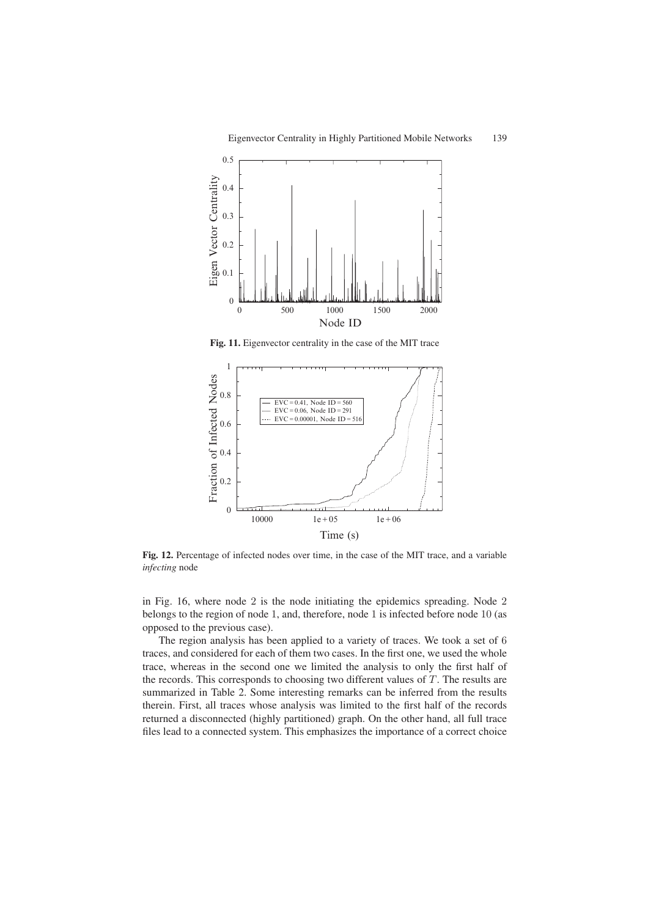

Fig. 11. Eigenvector centrality in the case of the MIT trace



Fig. 12. Percentage of infected nodes over time, in the case of the MIT trace, and a variable *infecting* node

in Fig. 16, where node 2 is the node initiating the epidemics spreading. Node 2 belongs to the region of node 1, and, therefore, node 1 is infected before node 10 (as opposed to the previous case).

The region analysis has been applied to a variety of traces. We took a set of 6 traces, and considered for each of them two cases. In the first one, we used the whole trace, whereas in the second one we limited the analysis to only the first half of the records. This corresponds to choosing two different values of  $T$ . The results are summarized in Table 2. Some interesting remarks can be inferred from the results therein. First, all traces whose analysis was limited to the first half of the records returned a disconnected (highly partitioned) graph. On the other hand, all full trace files lead to a connected system. This emphasizes the importance of a correct choice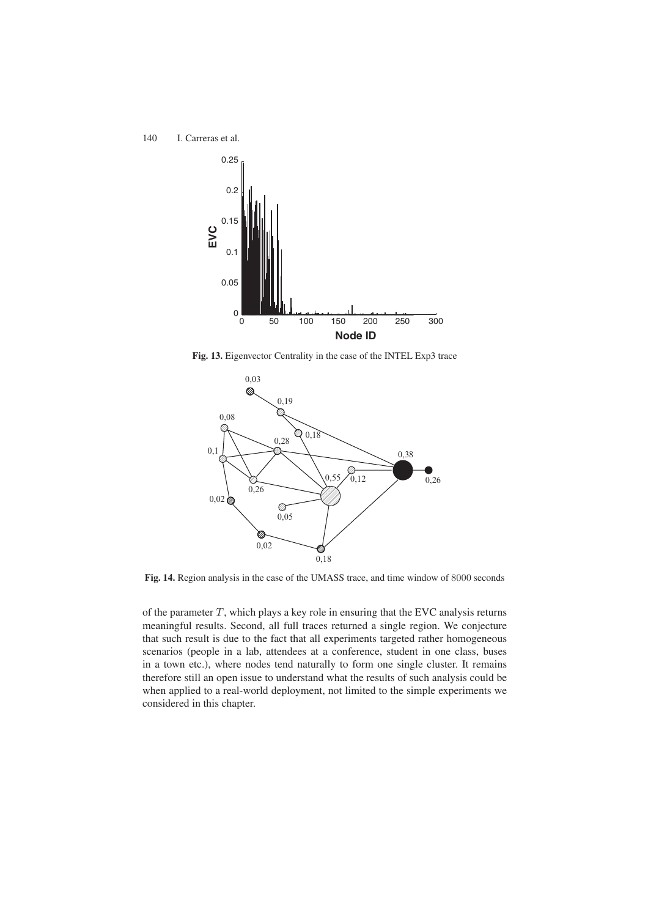

Fig. 13. Eigenvector Centrality in the case of the INTEL Exp3 trace



Fig. 14. Region analysis in the case of the UMASS trace, and time window of 8000 seconds

of the parameter  $T$ , which plays a key role in ensuring that the EVC analysis returns meaningful results. Second, all full traces returned a single region. We conjecture that such result is due to the fact that all experiments targeted rather homogeneous scenarios (people in a lab, attendees at a conference, student in one class, buses in a town etc.), where nodes tend naturally to form one single cluster. It remains therefore still an open issue to understand what the results of such analysis could be when applied to a real-world deployment, not limited to the simple experiments we considered in this chapter.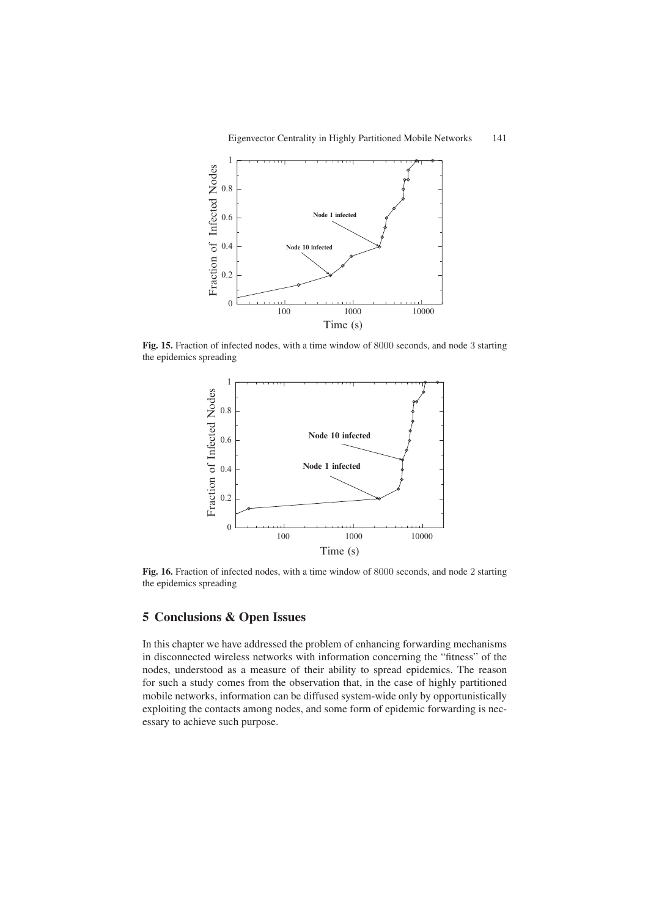

Eigenvector Centrality in Highly Partitioned Mobile Networks 141

Fig. 15. Fraction of infected nodes, with a time window of 8000 seconds, and node 3 starting the epidemics spreading



Fig. 16. Fraction of infected nodes, with a time window of 8000 seconds, and node 2 starting the epidemics spreading

# 5 Conclusions & Open Issues

In this chapter we have addressed the problem of enhancing forwarding mechanisms in disconnected wireless networks with information concerning the "fitness" of the nodes, understood as a measure of their ability to spread epidemics. The reason for such a study comes from the observation that, in the case of highly partitioned mobile networks, information can be diffused system-wide only by opportunistically exploiting the contacts among nodes, and some form of epidemic forwarding is necessary to achieve such purpose.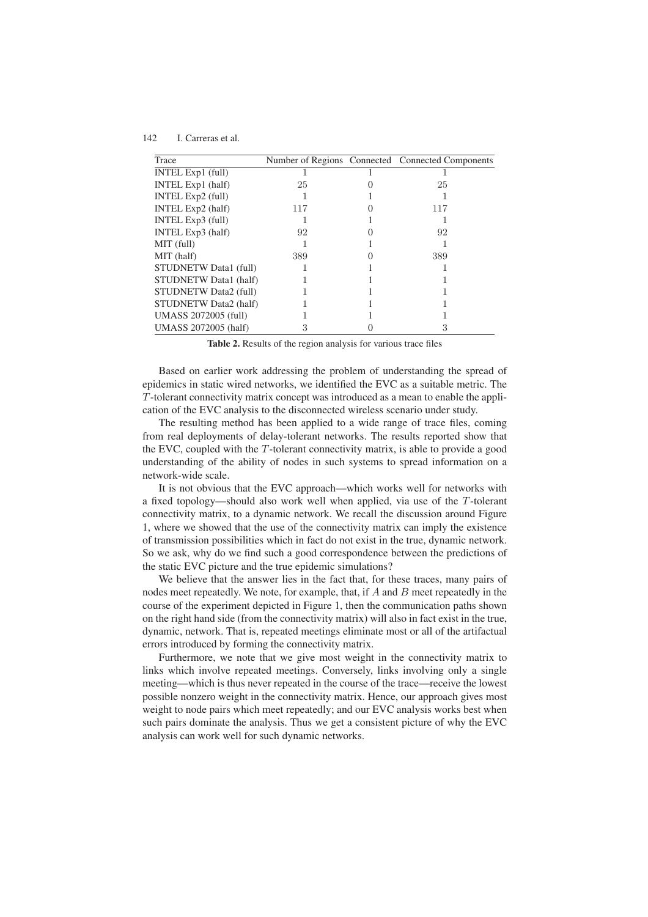| Trace                 |     | Number of Regions Connected Connected Components |
|-----------------------|-----|--------------------------------------------------|
| INTEL Exp1 (full)     |     |                                                  |
| INTEL Exp1 (half)     | 25  | 25                                               |
| INTEL Exp2 (full)     |     |                                                  |
| INTEL Exp2 (half)     | 117 | 117                                              |
| INTEL Exp3 (full)     |     |                                                  |
| INTEL Exp3 (half)     | 92  | 92                                               |
| MIT (full)            |     |                                                  |
| MIT (half)            | 389 | 389                                              |
| STUDNETW Data1 (full) |     |                                                  |
| STUDNETW Data1 (half) |     |                                                  |
| STUDNETW Data2 (full) |     |                                                  |
| STUDNETW Data2 (half) |     |                                                  |
| UMASS 2072005 (full)  |     |                                                  |
| UMASS 2072005 (half)  |     |                                                  |

Table 2. Results of the region analysis for various trace files

Based on earlier work addressing the problem of understanding the spread of epidemics in static wired networks, we identified the EVC as a suitable metric. The T-tolerant connectivity matrix concept was introduced as a mean to enable the application of the EVC analysis to the disconnected wireless scenario under study.

The resulting method has been applied to a wide range of trace files, coming from real deployments of delay-tolerant networks. The results reported show that the EVC, coupled with the  $T$ -tolerant connectivity matrix, is able to provide a good understanding of the ability of nodes in such systems to spread information on a network-wide scale.

It is not obvious that the EVC approach—which works well for networks with a fixed topology—should also work well when applied, via use of the T-tolerant connectivity matrix, to a dynamic network. We recall the discussion around Figure 1, where we showed that the use of the connectivity matrix can imply the existence of transmission possibilities which in fact do not exist in the true, dynamic network. So we ask, why do we find such a good correspondence between the predictions of the static EVC picture and the true epidemic simulations?

We believe that the answer lies in the fact that, for these traces, many pairs of nodes meet repeatedly. We note, for example, that, if  $A$  and  $B$  meet repeatedly in the course of the experiment depicted in Figure 1, then the communication paths shown on the right hand side (from the connectivity matrix) will also in fact exist in the true, dynamic, network. That is, repeated meetings eliminate most or all of the artifactual errors introduced by forming the connectivity matrix.

Furthermore, we note that we give most weight in the connectivity matrix to links which involve repeated meetings. Conversely, links involving only a single meeting—which is thus never repeated in the course of the trace—receive the lowest possible nonzero weight in the connectivity matrix. Hence, our approach gives most weight to node pairs which meet repeatedly; and our EVC analysis works best when such pairs dominate the analysis. Thus we get a consistent picture of why the EVC analysis can work well for such dynamic networks.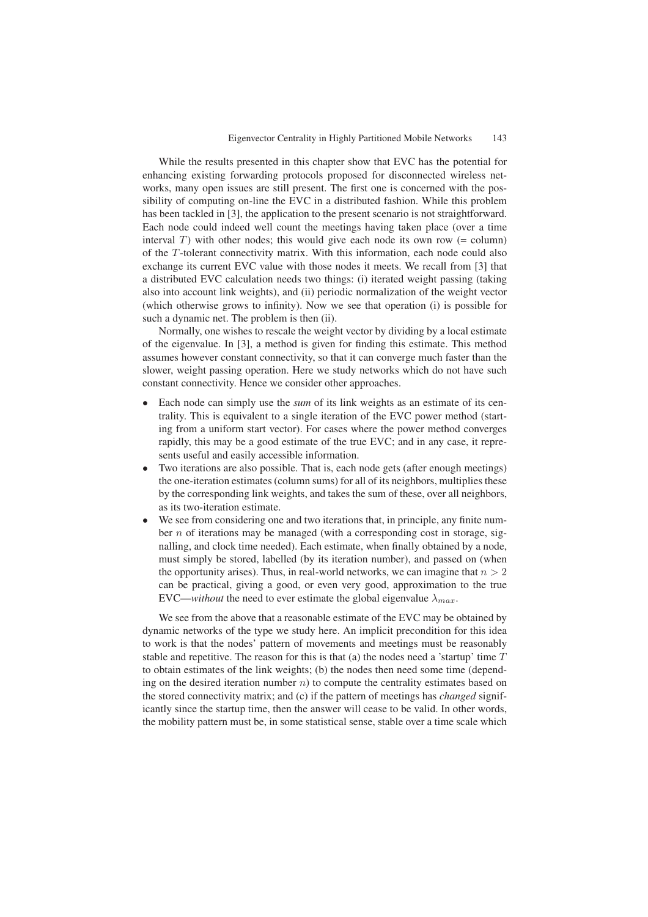While the results presented in this chapter show that EVC has the potential for enhancing existing forwarding protocols proposed for disconnected wireless networks, many open issues are still present. The first one is concerned with the possibility of computing on-line the EVC in a distributed fashion. While this problem has been tackled in [3], the application to the present scenario is not straightforward. Each node could indeed well count the meetings having taken place (over a time interval  $T$ ) with other nodes; this would give each node its own row (= column) of the T-tolerant connectivity matrix. With this information, each node could also exchange its current EVC value with those nodes it meets. We recall from [3] that a distributed EVC calculation needs two things: (i) iterated weight passing (taking also into account link weights), and (ii) periodic normalization of the weight vector (which otherwise grows to infinity). Now we see that operation (i) is possible for such a dynamic net. The problem is then (ii).

Normally, one wishes to rescale the weight vector by dividing by a local estimate of the eigenvalue. In [3], a method is given for finding this estimate. This method assumes however constant connectivity, so that it can converge much faster than the slower, weight passing operation. Here we study networks which do not have such constant connectivity. Hence we consider other approaches.

- Each node can simply use the *sum* of its link weights as an estimate of its centrality. This is equivalent to a single iteration of the EVC power method (starting from a uniform start vector). For cases where the power method converges rapidly, this may be a good estimate of the true EVC; and in any case, it represents useful and easily accessible information.
- Two iterations are also possible. That is, each node gets (after enough meetings) the one-iteration estimates (column sums) for all of its neighbors, multiplies these by the corresponding link weights, and takes the sum of these, over all neighbors, as its two-iteration estimate.
- We see from considering one and two iterations that, in principle, any finite number  $n$  of iterations may be managed (with a corresponding cost in storage, signalling, and clock time needed). Each estimate, when finally obtained by a node, must simply be stored, labelled (by its iteration number), and passed on (when the opportunity arises). Thus, in real-world networks, we can imagine that  $n > 2$ can be practical, giving a good, or even very good, approximation to the true EVC—*without* the need to ever estimate the global eigenvalue  $\lambda_{max}$ .

We see from the above that a reasonable estimate of the EVC may be obtained by dynamic networks of the type we study here. An implicit precondition for this idea to work is that the nodes' pattern of movements and meetings must be reasonably stable and repetitive. The reason for this is that (a) the nodes need a 'startup' time  $T$ to obtain estimates of the link weights; (b) the nodes then need some time (depending on the desired iteration number  $n$ ) to compute the centrality estimates based on the stored connectivity matrix; and (c) if the pattern of meetings has *changed* significantly since the startup time, then the answer will cease to be valid. In other words, the mobility pattern must be, in some statistical sense, stable over a time scale which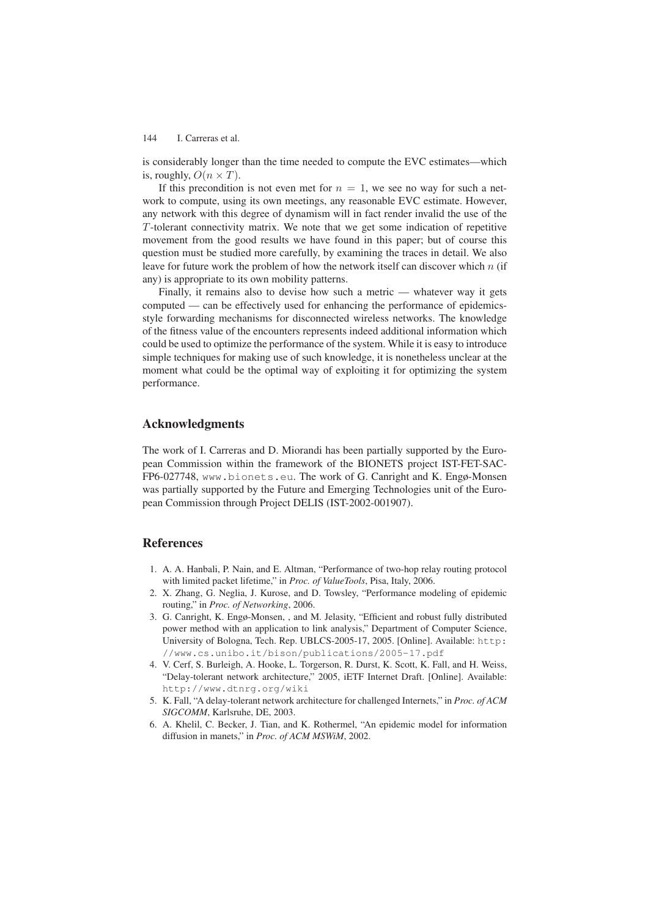is considerably longer than the time needed to compute the EVC estimates—which is, roughly,  $O(n \times T)$ .

If this precondition is not even met for  $n = 1$ , we see no way for such a network to compute, using its own meetings, any reasonable EVC estimate. However, any network with this degree of dynamism will in fact render invalid the use of the T-tolerant connectivity matrix. We note that we get some indication of repetitive movement from the good results we have found in this paper; but of course this question must be studied more carefully, by examining the traces in detail. We also leave for future work the problem of how the network itself can discover which  $n$  (if any) is appropriate to its own mobility patterns.

Finally, it remains also to devise how such a metric — whatever way it gets computed — can be effectively used for enhancing the performance of epidemicsstyle forwarding mechanisms for disconnected wireless networks. The knowledge of the fitness value of the encounters represents indeed additional information which could be used to optimize the performance of the system. While it is easy to introduce simple techniques for making use of such knowledge, it is nonetheless unclear at the moment what could be the optimal way of exploiting it for optimizing the system performance.

# Acknowledgments

The work of I. Carreras and D. Miorandi has been partially supported by the European Commission within the framework of the BIONETS project IST-FET-SAC-FP6-027748, www.bionets.eu. The work of G. Canright and K. Engø-Monsen was partially supported by the Future and Emerging Technologies unit of the European Commission through Project DELIS (IST-2002-001907).

# References

- 1. A. A. Hanbali, P. Nain, and E. Altman, "Performance of two-hop relay routing protocol with limited packet lifetime," in *Proc. of ValueTools*, Pisa, Italy, 2006.
- 2. X. Zhang, G. Neglia, J. Kurose, and D. Towsley, "Performance modeling of epidemic routing," in *Proc. of Networking*, 2006.
- 3. G. Canright, K. Engø-Monsen, , and M. Jelasity, "Efficient and robust fully distributed power method with an application to link analysis," Department of Computer Science, University of Bologna, Tech. Rep. UBLCS-2005-17, 2005. [Online]. Available: http: //www.cs.unibo.it/bison/publications/2005-17.pdf
- 4. V. Cerf, S. Burleigh, A. Hooke, L. Torgerson, R. Durst, K. Scott, K. Fall, and H. Weiss, "Delay-tolerant network architecture," 2005, iETF Internet Draft. [Online]. Available: http://www.dtnrg.org/wiki
- 5. K. Fall, "A delay-tolerant network architecture for challenged Internets," in *Proc. of ACM SIGCOMM*, Karlsruhe, DE, 2003.
- 6. A. Khelil, C. Becker, J. Tian, and K. Rothermel, "An epidemic model for information diffusion in manets," in *Proc. of ACM MSWiM*, 2002.